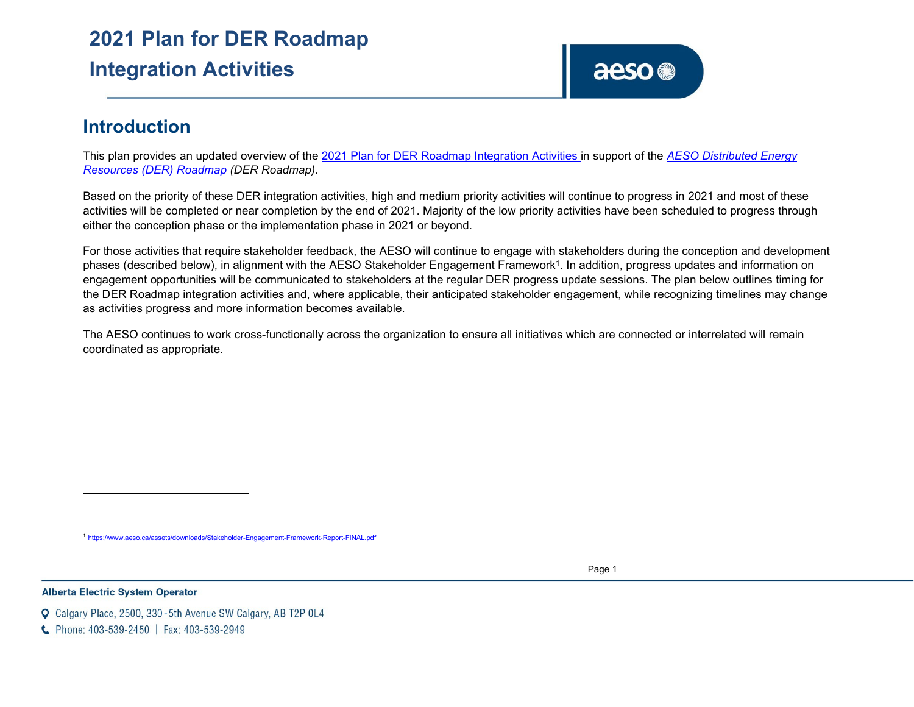# **2021 Plan for DER Roadmap Integration Activities**

<span id="page-0-0"></span>

# **Introduction**

This plan provides an updated overview of the [2021 Plan for DER Roadmap Integration Activities in](https://www.aeso.ca/assets/Uploads/2020-DER-Roadmap-Integration-Plan-FINAL.pdf) support of the *[AESO Distributed Energy](https://www.aeso.ca/assets/Uploads/DER-Roadmap-2020-FINAL.pdf) [Resources \(DER\) Roadmap](https://www.aeso.ca/assets/Uploads/DER-Roadmap-2020-FINAL.pdf) (DER Roadmap)*.

Based on the priority of these DER integration activities, high and medium priority activities will continue to progress in 2021 and most of these activities will be completed or near completion by the end of 2021. Majority of the low priority activities have been scheduled to progress through either the conception phase or the implementation phase in 2021 or beyond.

For those activities that require stakeholder feedback, the AESO will continue to engage with stakeholders during the conception and development phases (described below), in alignment with the AESO Stakeholder Engagement Framework<sup>1</sup>. In addition, progress updates and information on engagement opportunities will be communicated to stakeholders at the regular DER progress update sessions. The plan below outlines timing for the DER Roadmap integration activities and, where applicable, their anticipated stakeholder engagement, while recognizing timelines may change as activities progress and more information becomes available.

The AESO continues to work cross-functionally across the organization to ensure all initiatives which are connected or interrelated will remain coordinated as appropriate.

www.aeso.ca/assets/downloads/Stakeholder-Engagement-Framework-Report-FINAl

Page 1

**Alberta Electric System Operator** 

- Calgary Place, 2500, 330-5th Avenue SW Calgary, AB T2P 0L4
- C Phone: 403-539-2450 | Fax: 403-539-2949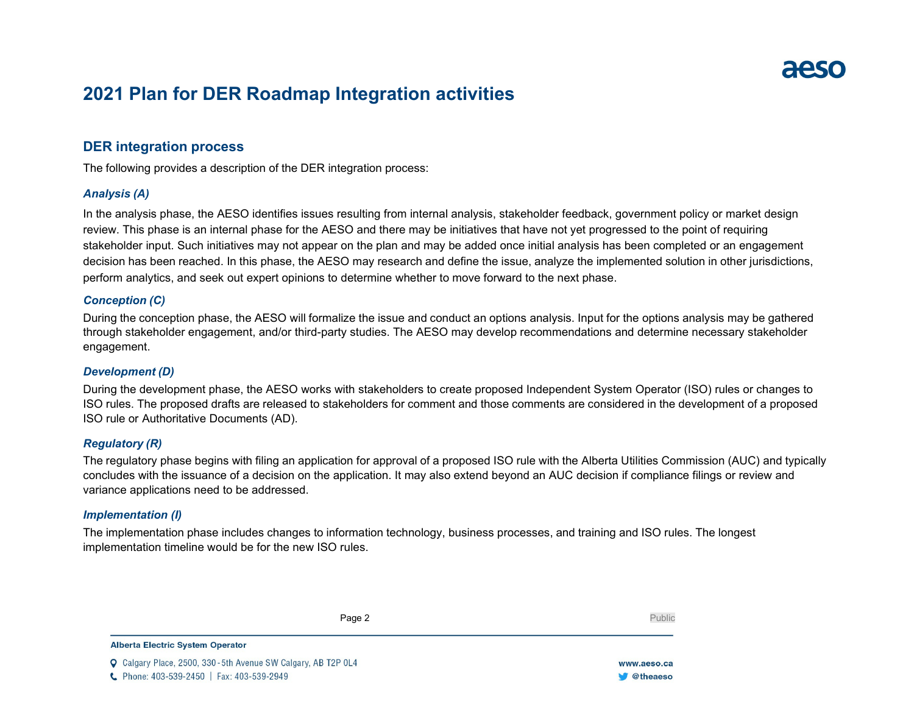# **2021 Plan for DER Roadmap Integration activities**

# **DER integration process**

The following provides a description of the DER integration process:

# *Analysis (A)*

In the analysis phase, the AESO identifies issues resulting from internal analysis, stakeholder feedback, government policy or market design review. This phase is an internal phase for the AESO and there may be initiatives that have not yet progressed to the point of requiring stakeholder input. Such initiatives may not appear on the plan and may be added once initial analysis has been completed or an engagement decision has been reached. In this phase, the AESO may research and define the issue, analyze the implemented solution in other jurisdictions, perform analytics, and seek out expert opinions to determine whether to move forward to the next phase.

# *Conception (C)*

During the conception phase, the AESO will formalize the issue and conduct an options analysis. Input for the options analysis may be gathered through stakeholder engagement, and/or third-party studies. The AESO may develop recommendations and determine necessary stakeholder engagement.

# *Development (D)*

During the development phase, the AESO works with stakeholders to create proposed Independent System Operator (ISO) rules or changes to ISO rules. The proposed drafts are released to stakeholders for comment and those comments are considered in the development of a proposed ISO rule or Authoritative Documents (AD).

# *Regulatory (R)*

The regulatory phase begins with filing an application for approval of a proposed ISO rule with the Alberta Utilities Commission (AUC) and typically concludes with the issuance of a decision on the application. It may also extend beyond an AUC decision if compliance filings or review and variance applications need to be addressed.

# *Implementation (I)*

The implementation phase includes changes to information technology, business processes, and training and ISO rules. The longest implementation timeline would be for the new ISO rules.

Page 2 Public

**Alberta Electric System Operator** 

C Calgary Place, 2500, 330-5th Avenue SW Calgary, AB T2P 0L4 C Phone: 403-539-2450 | Fax: 403-539-2949

www.aeso.ca **W** @theaeso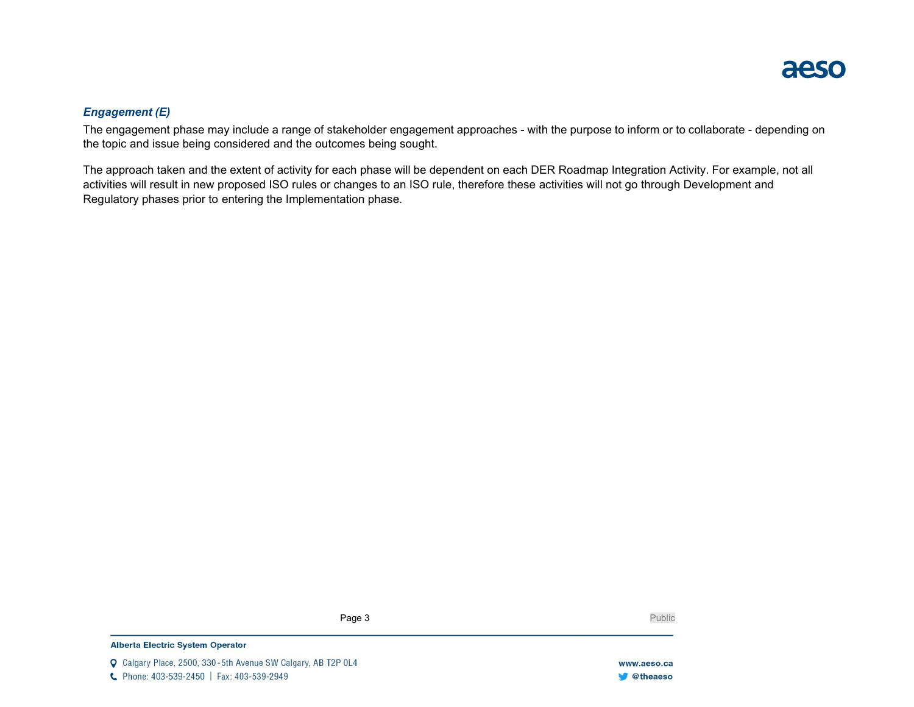

# *Engagement (E)*

The engagement phase may include a range of stakeholder engagement approaches - with the purpose to inform or to collaborate - depending on the topic and issue being considered and the outcomes being sought.

The approach taken and the extent of activity for each phase will be dependent on each DER Roadmap Integration Activity. For example, not all activities will result in new proposed ISO rules or changes to an ISO rule, therefore these activities will not go through Development and Regulatory phases prior to entering the Implementation phase.

Page 3 Public

#### **Alberta Electric System Operator**

Q Calgary Place, 2500, 330-5th Avenue SW Calgary, AB T2P 0L4 C Phone: 403-539-2450 | Fax: 403-539-2949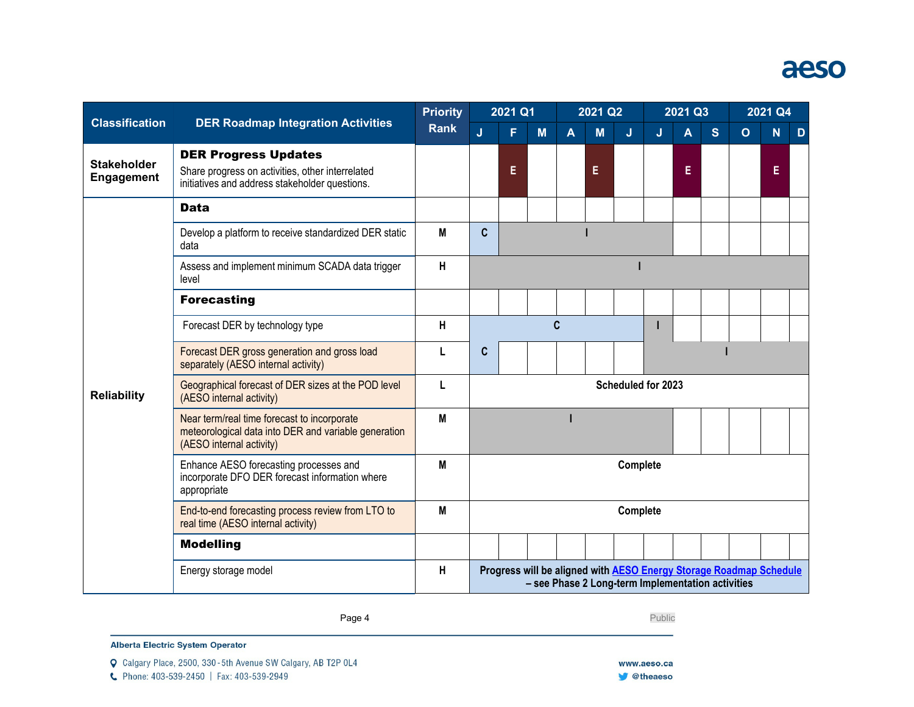# aeso

| <b>Classification</b>                   | <b>DER Roadmap Integration Activities</b>                                                                                         | <b>Priority</b><br><b>Rank</b> | 2021 Q1                                                                                                                 |    |     | 2021 Q2                 |   |   | 2021 Q3 |   |   | 2021 Q4        |    |   |
|-----------------------------------------|-----------------------------------------------------------------------------------------------------------------------------------|--------------------------------|-------------------------------------------------------------------------------------------------------------------------|----|-----|-------------------------|---|---|---------|---|---|----------------|----|---|
|                                         |                                                                                                                                   |                                | J                                                                                                                       | F  | $M$ | $\overline{\mathsf{A}}$ | M | J | J       | A | S | $\overline{O}$ | Ñ  | D |
| <b>Stakeholder</b><br><b>Engagement</b> | <b>DER Progress Updates</b><br>Share progress on activities, other interrelated<br>initiatives and address stakeholder questions. |                                |                                                                                                                         | Е. |     |                         | Е |   |         | E |   |                | E. |   |
|                                         | <b>Data</b>                                                                                                                       |                                |                                                                                                                         |    |     |                         |   |   |         |   |   |                |    |   |
|                                         | Develop a platform to receive standardized DER static<br>data                                                                     | M                              | $\mathbf c$                                                                                                             |    |     |                         |   |   |         |   |   |                |    |   |
|                                         | Assess and implement minimum SCADA data trigger<br>level                                                                          | H                              |                                                                                                                         |    |     |                         |   |   |         |   |   |                |    |   |
|                                         | <b>Forecasting</b>                                                                                                                |                                |                                                                                                                         |    |     |                         |   |   |         |   |   |                |    |   |
|                                         | Forecast DER by technology type                                                                                                   | H                              | C                                                                                                                       |    |     |                         |   |   |         |   |   |                |    |   |
|                                         | Forecast DER gross generation and gross load<br>separately (AESO internal activity)                                               |                                | C                                                                                                                       |    |     |                         |   |   |         |   |   |                |    |   |
| <b>Reliability</b>                      | Geographical forecast of DER sizes at the POD level<br>(AESO internal activity)                                                   | L                              | Scheduled for 2023                                                                                                      |    |     |                         |   |   |         |   |   |                |    |   |
|                                         | Near term/real time forecast to incorporate<br>meteorological data into DER and variable generation<br>(AESO internal activity)   | M                              |                                                                                                                         |    |     |                         |   |   |         |   |   |                |    |   |
|                                         | Enhance AESO forecasting processes and<br>incorporate DFO DER forecast information where<br>appropriate                           | M                              | Complete                                                                                                                |    |     |                         |   |   |         |   |   |                |    |   |
|                                         | End-to-end forecasting process review from LTO to<br>real time (AESO internal activity)                                           | M                              | Complete                                                                                                                |    |     |                         |   |   |         |   |   |                |    |   |
|                                         | <b>Modelling</b>                                                                                                                  |                                |                                                                                                                         |    |     |                         |   |   |         |   |   |                |    |   |
|                                         | Energy storage model                                                                                                              | H                              | Progress will be aligned with AESO Energy Storage Roadmap Schedule<br>- see Phase 2 Long-term Implementation activities |    |     |                         |   |   |         |   |   |                |    |   |

Page 4 Public

Alberta Electric System Operator

Q Calgary Place, 2500, 330-5th Avenue SW Calgary, AB T2P 0L4

C Phone: 403-539-2450 | Fax: 403-539-2949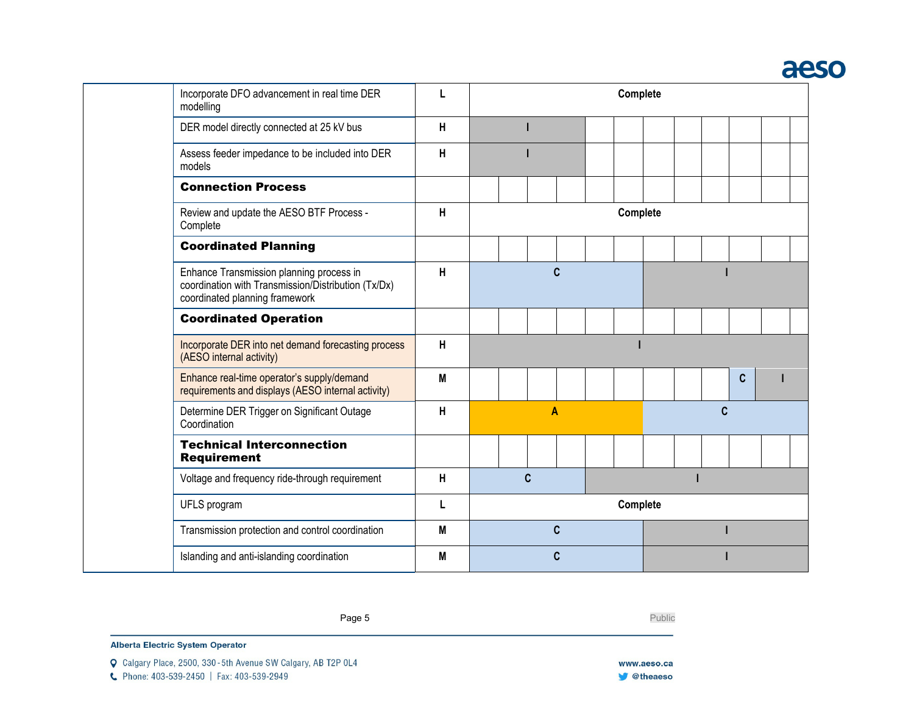# aeso

| Incorporate DFO advancement in real time DER<br>modelling                                                                         | L | Complete     |          |          |   |             |  |  |  |  |
|-----------------------------------------------------------------------------------------------------------------------------------|---|--------------|----------|----------|---|-------------|--|--|--|--|
| DER model directly connected at 25 kV bus                                                                                         | H |              |          |          |   |             |  |  |  |  |
| Assess feeder impedance to be included into DER<br>models                                                                         | H |              |          |          |   |             |  |  |  |  |
| <b>Connection Process</b>                                                                                                         |   |              |          |          |   |             |  |  |  |  |
| Review and update the AESO BTF Process -<br>Complete                                                                              | H |              |          | Complete |   |             |  |  |  |  |
| <b>Coordinated Planning</b>                                                                                                       |   |              |          |          |   |             |  |  |  |  |
| Enhance Transmission planning process in<br>coordination with Transmission/Distribution (Tx/Dx)<br>coordinated planning framework | H | $\mathbf{C}$ |          |          |   |             |  |  |  |  |
| <b>Coordinated Operation</b>                                                                                                      |   |              |          |          |   |             |  |  |  |  |
| Incorporate DER into net demand forecasting process<br>(AESO internal activity)                                                   | H |              |          |          |   |             |  |  |  |  |
| Enhance real-time operator's supply/demand<br>requirements and displays (AESO internal activity)                                  | M |              |          |          |   | $\mathbf c$ |  |  |  |  |
| Determine DER Trigger on Significant Outage<br>Coordination                                                                       | Н | A            |          |          | C |             |  |  |  |  |
| <b>Technical Interconnection</b><br><b>Requirement</b>                                                                            |   |              |          |          |   |             |  |  |  |  |
| Voltage and frequency ride-through requirement                                                                                    | н | $\mathbf{C}$ |          |          |   |             |  |  |  |  |
| UFLS program                                                                                                                      | L |              | Complete |          |   |             |  |  |  |  |
| Transmission protection and control coordination                                                                                  | M | C            |          |          |   |             |  |  |  |  |
| Islanding and anti-islanding coordination                                                                                         | M | C            |          |          |   |             |  |  |  |  |

Page 5 Public

Alberta Electric System Operator

C Phone: 403-539-2450 | Fax: 403-539-2949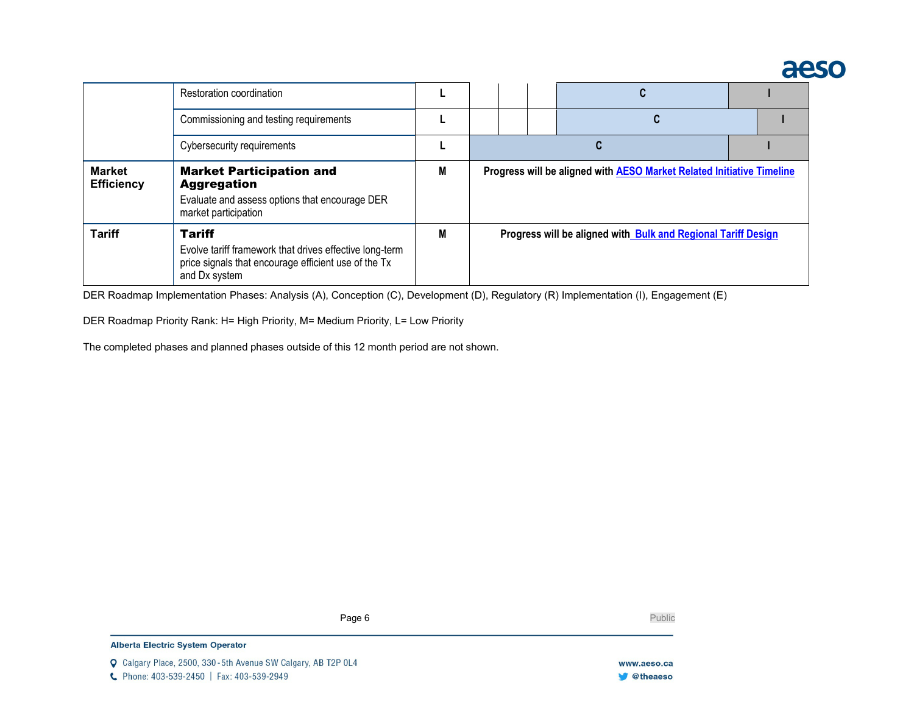# aeso

|                                    | Restoration coordination                                                                                                                          |   |                                                                       |  |  |                                                               |  |  |
|------------------------------------|---------------------------------------------------------------------------------------------------------------------------------------------------|---|-----------------------------------------------------------------------|--|--|---------------------------------------------------------------|--|--|
|                                    | Commissioning and testing requirements                                                                                                            |   |                                                                       |  |  |                                                               |  |  |
|                                    | Cybersecurity requirements                                                                                                                        |   |                                                                       |  |  |                                                               |  |  |
| <b>Market</b><br><b>Efficiency</b> | <b>Market Participation and</b><br><b>Aggregation</b><br>Evaluate and assess options that encourage DER<br>market participation                   | M | Progress will be aligned with AESO Market Related Initiative Timeline |  |  |                                                               |  |  |
| <b>Tariff</b>                      | <b>Tariff</b><br>Evolve tariff framework that drives effective long-term<br>price signals that encourage efficient use of the Tx<br>and Dx system | M |                                                                       |  |  | Progress will be aligned with Bulk and Regional Tariff Design |  |  |

DER Roadmap Implementation Phases: Analysis (A), Conception (C), Development (D), Regulatory (R) Implementation (I), Engagement (E)

DER Roadmap Priority Rank: H= High Priority, M= Medium Priority, L= Low Priority

The completed phases and planned phases outside of this 12 month period are not shown.

Page 6 Public

**Alberta Electric System Operator**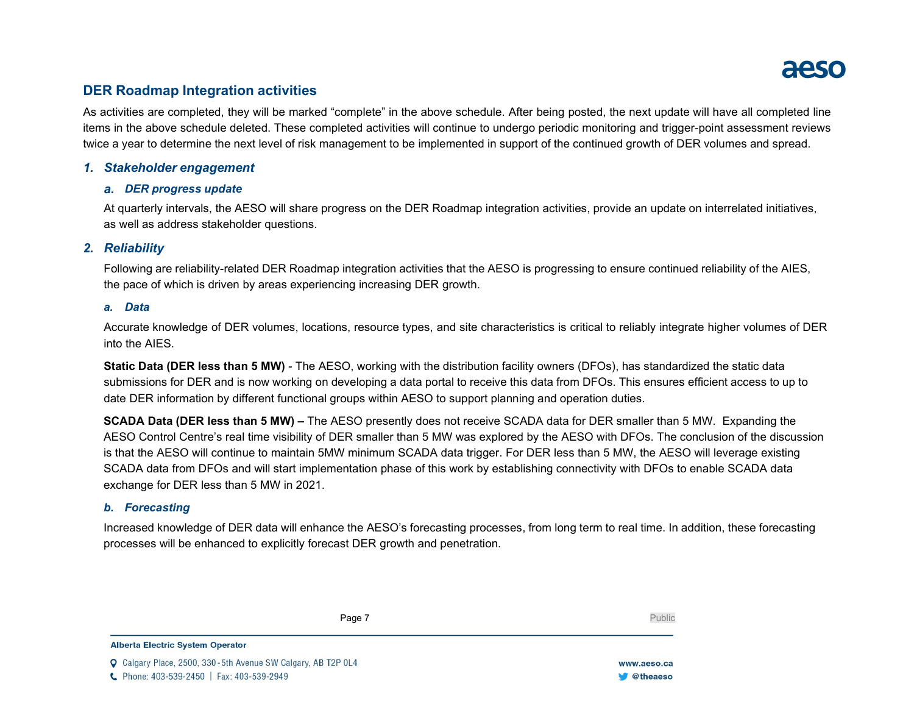

# **DER Roadmap Integration activities**

As activities are completed, they will be marked "complete" in the above schedule. After being posted, the next update will have all completed line items in the above schedule deleted. These completed activities will continue to undergo periodic monitoring and trigger-point assessment reviews twice a year to determine the next level of risk management to be implemented in support of the continued growth of DER volumes and spread.

### *1. Stakeholder engagement*

#### *a. DER progress update*

At quarterly intervals, the AESO will share progress on the DER Roadmap integration activities, provide an update on interrelated initiatives, as well as address stakeholder questions.

### *2. Reliability*

Following are reliability-related DER Roadmap integration activities that the AESO is progressing to ensure continued reliability of the AIES, the pace of which is driven by areas experiencing increasing DER growth.

#### *a. Data*

Accurate knowledge of DER volumes, locations, resource types, and site characteristics is critical to reliably integrate higher volumes of DER into the AIES.

**Static Data (DER less than 5 MW)** - The AESO, working with the distribution facility owners (DFOs), has standardized the static data submissions for DER and is now working on developing a data portal to receive this data from DFOs. This ensures efficient access to up to date DER information by different functional groups within AESO to support planning and operation duties.

**SCADA Data (DER less than 5 MW) –** The AESO presently does not receive SCADA data for DER smaller than 5 MW. Expanding the AESO Control Centre's real time visibility of DER smaller than 5 MW was explored by the AESO with DFOs. The conclusion of the discussion is that the AESO will continue to maintain 5MW minimum SCADA data trigger. For DER less than 5 MW, the AESO will leverage existing SCADA data from DFOs and will start implementation phase of this work by establishing connectivity with DFOs to enable SCADA data exchange for DER less than 5 MW in 2021.

### *b. Forecasting*

Increased knowledge of DER data will enhance the AESO's forecasting processes, from long term to real time. In addition, these forecasting processes will be enhanced to explicitly forecast DER growth and penetration.

Page 7 Public

**Alberta Electric System Operator** 

C Calgary Place, 2500, 330-5th Avenue SW Calgary, AB T2P 0L4 C Phone: 403-539-2450 | Fax: 403-539-2949

www.aeso.ca **W** @theaeso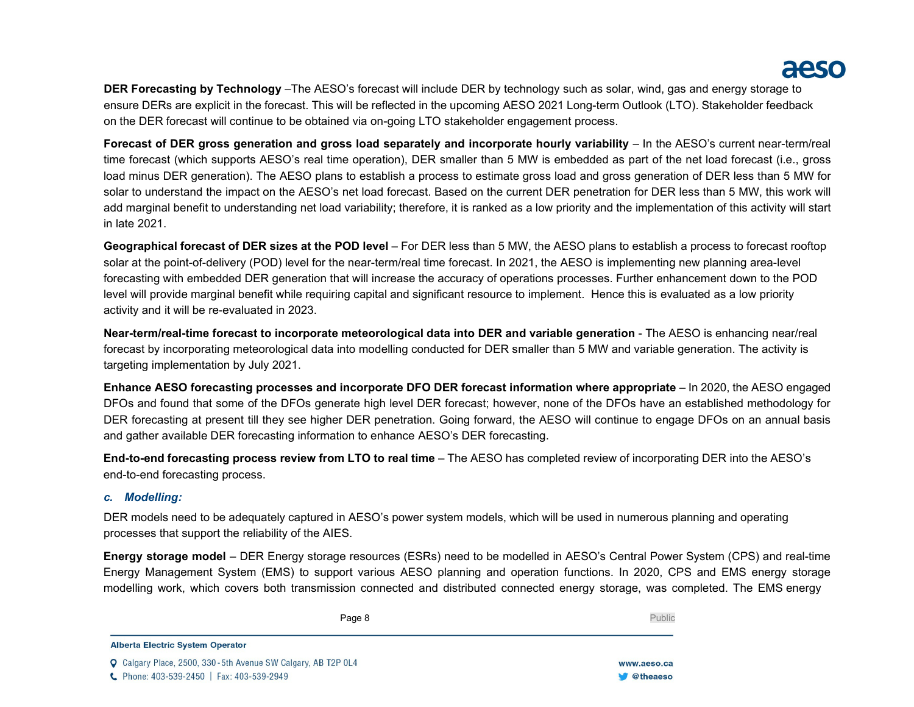# aesd

**DER Forecasting by Technology** –The AESO's forecast will include DER by technology such as solar, wind, gas and energy storage to ensure DERs are explicit in the forecast. This will be reflected in the upcoming AESO 2021 Long-term Outlook (LTO). Stakeholder feedback on the DER forecast will continue to be obtained via on-going LTO stakeholder engagement process.

**Forecast of DER gross generation and gross load separately and incorporate hourly variability** – In the AESO's current near-term/real time forecast (which supports AESO's real time operation), DER smaller than 5 MW is embedded as part of the net load forecast (i.e., gross load minus DER generation). The AESO plans to establish a process to estimate gross load and gross generation of DER less than 5 MW for solar to understand the impact on the AESO's net load forecast. Based on the current DER penetration for DER less than 5 MW, this work will add marginal benefit to understanding net load variability; therefore, it is ranked as a low priority and the implementation of this activity will start in late 2021.

**Geographical forecast of DER sizes at the POD level** – For DER less than 5 MW, the AESO plans to establish a process to forecast rooftop solar at the point-of-delivery (POD) level for the near-term/real time forecast. In 2021, the AESO is implementing new planning area-level forecasting with embedded DER generation that will increase the accuracy of operations processes. Further enhancement down to the POD level will provide marginal benefit while requiring capital and significant resource to implement. Hence this is evaluated as a low priority activity and it will be re-evaluated in 2023.

**Near-term/real-time forecast to incorporate meteorological data into DER and variable generation** - The AESO is enhancing near/real forecast by incorporating meteorological data into modelling conducted for DER smaller than 5 MW and variable generation. The activity is targeting implementation by July 2021.

**Enhance AESO forecasting processes and incorporate DFO DER forecast information where appropriate** – In 2020, the AESO engaged DFOs and found that some of the DFOs generate high level DER forecast; however, none of the DFOs have an established methodology for DER forecasting at present till they see higher DER penetration. Going forward, the AESO will continue to engage DFOs on an annual basis and gather available DER forecasting information to enhance AESO's DER forecasting.

**End-to-end forecasting process review from LTO to real time** – The AESO has completed review of incorporating DER into the AESO's end-to-end forecasting process.

# *c. Modelling:*

DER models need to be adequately captured in AESO's power system models, which will be used in numerous planning and operating processes that support the reliability of the AIES.

**Energy storage model** – DER Energy storage resources (ESRs) need to be modelled in AESO's Central Power System (CPS) and real-time Energy Management System (EMS) to support various AESO planning and operation functions. In 2020, CPS and EMS energy storage modelling work, which covers both transmission connected and distributed connected energy storage, was completed. The EMS energy

Page 8 Public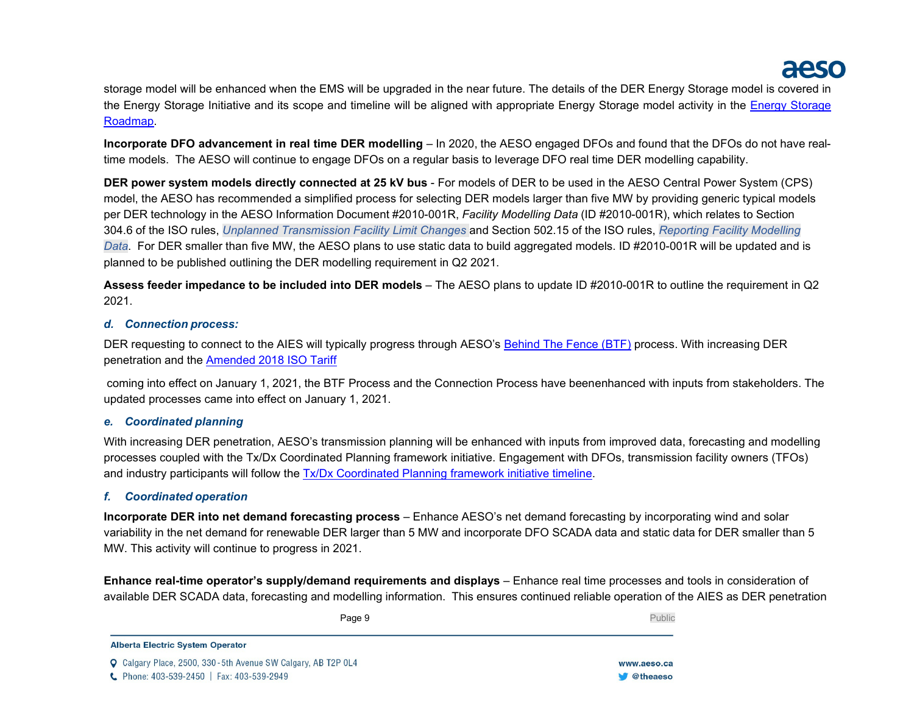storage model will be enhanced when the EMS will be upgraded in the near future. The details of the DER Energy Storage model is covered in the Energy Storage Initiative and its scope and timeline will be aligned with appropriate Energy Storage model activity in the [Energy Storage](https://www.aeso.ca/assets/Uploads/July-2020-ES-progress-update-FINAL-18-002-SCHEDULE-PDF4.pdf) [Roadmap.](https://www.aeso.ca/assets/Uploads/July-2020-ES-progress-update-FINAL-18-002-SCHEDULE-PDF4.pdf)

**Incorporate DFO advancement in real time DER modelling** – In 2020, the AESO engaged DFOs and found that the DFOs do not have realtime models. The AESO will continue to engage DFOs on a regular basis to leverage DFO real time DER modelling capability.

**DER power system models directly connected at 25 kV bus** - For models of DER to be used in the AESO Central Power System (CPS) model, the AESO has recommended a simplified process for selecting DER models larger than five MW by providing generic typical models per DER technology in the AESO Information Document #2010-001R, *Facility Modelling Data* (ID #2010-001R), which relates to Section 304.6 of the ISO rules, *Unplanned Transmission Facility Limit Changes* and Section 502.15 of the ISO rules, *Reporting Facility Modelling Data*. For DER smaller than five MW, the AESO plans to use static data to build aggregated models. ID #2010-001R will be updated and is planned to be published outlining the DER modelling requirement in Q2 2021.

**Assess feeder impedance to be included into DER models** – The AESO plans to update ID #2010-001R to outline the requirement in Q2 2021.

# *d. Connection process:*

DER requesting to connect to the AIES will typically progress through AESO's [Behind The Fence \(BTF\)](https://www.aeso.ca/grid/connecting-to-the-grid/changes-to-the-connection-process/btf-process-changes/) process. With increasing DER penetration and the [Amended](https://www.aeso.ca/assets/Uploads/Amended-2018-ISO-Tariff-Application.pdf) 2018 ISO Tariff

[c](https://www.aeso.ca/assets/Uploads/Amended-2018-ISO-Tariff-Application.pdf)oming into effect on January 1, 2021, the BTF Process and the Connection Process have beenenhanced with inputs from stakeholders. The updated processes came into effect on January 1, 2021.

# *e. Coordinated planning*

With increasing DER penetration, AESO's transmission planning will be enhanced with inputs from improved data, forecasting and modelling processes coupled with the Tx/Dx Coordinated Planning framework initiative. Engagement with DFOs, transmission facility owners (TFOs) and industry participants will follow the Tx/Dx [Coordinated Planning](https://www.aeso.ca/grid/grid-related-initiatives/transmission-distribution-tx-dx-coordinated-planning-framework/) framework initiative timeline.

# *f. Coordinated operation*

**Incorporate DER into net demand forecasting process** – Enhance AESO's net demand forecasting by incorporating wind and solar variability in the net demand for renewable DER larger than 5 MW and incorporate DFO SCADA data and static data for DER smaller than 5 MW. This activity will continue to progress in 2021.

**Enhance real-time operator's supply/demand requirements and displays** – Enhance real time processes and tools in consideration of available DER SCADA data, forecasting and modelling information. This ensures continued reliable operation of the AIES as DER penetration

Page 9 Public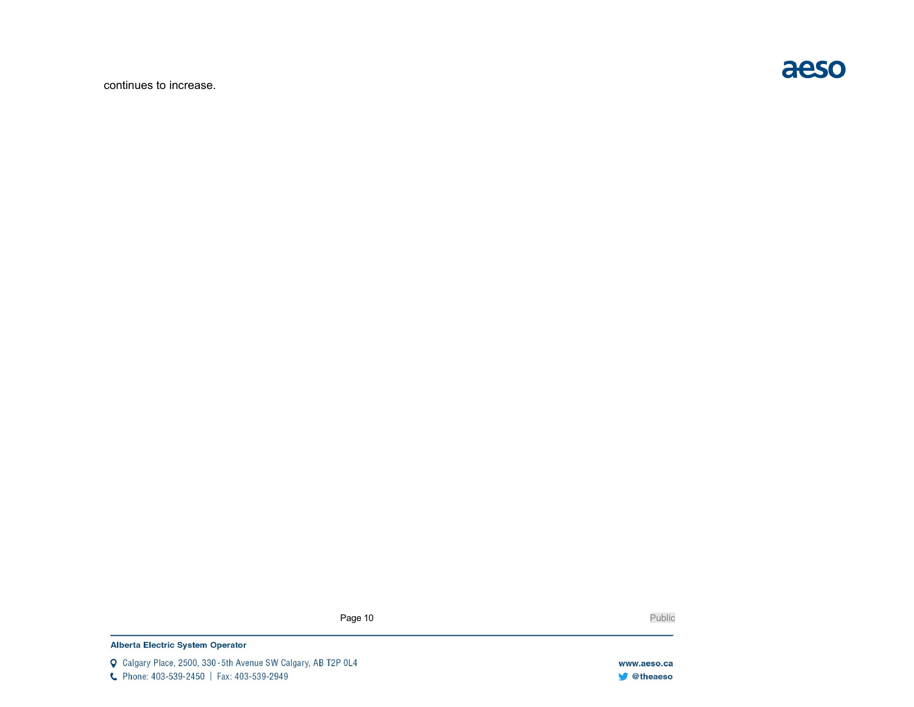continues to increase.



Page 10 Public Public

### Alberta Electric System Operator

Q Calgary Place, 2500, 330-5th Avenue SW Calgary, AB T2P 0L4 C Phone: 403-539-2450 | Fax: 403-539-2949

www.aeso.ca **V** @theaeso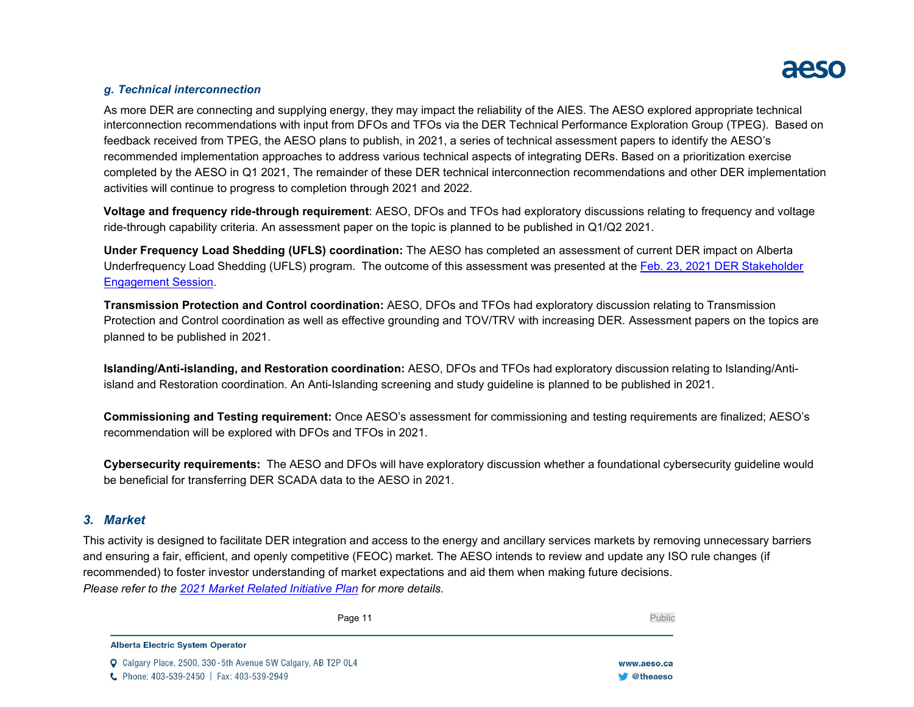# *g. Technical interconnection*

As more DER are connecting and supplying energy, they may impact the reliability of the AIES. The AESO explored appropriate technical interconnection recommendations with input from DFOs and TFOs via the DER Technical Performance Exploration Group (TPEG). Based on feedback received from TPEG, the AESO plans to publish, in 2021, a series of technical assessment papers to identify the AESO's recommended implementation approaches to address various technical aspects of integrating DERs. Based on a prioritization exercise completed by the AESO in Q1 2021, The remainder of these DER technical interconnection recommendations and other DER implementation activities will continue to progress to completion through 2021 and 2022.

**Voltage and frequency ride-through requirement**: AESO, DFOs and TFOs had exploratory discussions relating to frequency and voltage ride-through capability criteria. An assessment paper on the topic is planned to be published in Q1/Q2 2021.

**Under Frequency Load Shedding (UFLS) coordination:** The AESO has completed an assessment of current DER impact on Alberta Underfrequency Load Shedding (UFLS) program. The outcome of this assessment was presented at the Feb. 23, 2021 DER [Stakeholder](https://www.aeso.ca/assets/Uploads/PRESENTATION-DER-Roadmap-Stakeholder-Session-FINAL-17FEB2021.pdf) [Engagement](https://www.aeso.ca/assets/Uploads/PRESENTATION-DER-Roadmap-Stakeholder-Session-FINAL-17FEB2021.pdf) Session.

**Transmission Protection and Control coordination:** AESO, DFOs and TFOs had exploratory discussion relating to Transmission Protection and Control coordination as well as effective grounding and TOV/TRV with increasing DER. Assessment papers on the topics are planned to be published in 2021.

**Islanding/Anti-islanding, and Restoration coordination:** AESO, DFOs and TFOs had exploratory discussion relating to Islanding/Antiisland and Restoration coordination. An Anti-Islanding screening and study guideline is planned to be published in 2021.

**Commissioning and Testing requirement:** Once AESO's assessment for commissioning and testing requirements are finalized; AESO's recommendation will be explored with DFOs and TFOs in 2021.

**Cybersecurity requirements:** The AESO and DFOs will have exploratory discussion whether a foundational cybersecurity guideline would be beneficial for transferring DER SCADA data to the AESO in 2021.

# *3. Market*

This activity is designed to facilitate DER integration and access to the energy and ancillary services markets by removing unnecessary barriers and ensuring a fair, efficient, and openly competitive (FEOC) market. The AESO intends to review and update any ISO rule changes (if recommended) to foster investor understanding of market expectations and aid them when making future decisions. *Please refer to the 2021 Market Related [Initiative](https://www.aeso.ca/assets/Uploads/2021-2022-Market-Related-Initiatives-Plan-FINAL.pdf) Plan for more details.*

**W** @theaeso

| Page 11                                                               | Public      |
|-----------------------------------------------------------------------|-------------|
| <b>Alberta Electric System Operator</b>                               |             |
| <b>Q</b> Calgary Place, 2500, 330 - 5th Avenue SW Calgary, AB T2P 0L4 | www.aeso.ca |

C Phone: 403-539-2450 | Fax: 403-539-2949